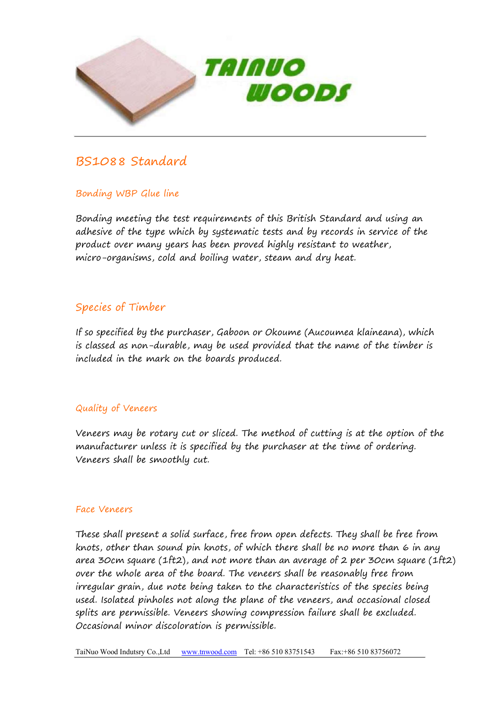

# BS1088 Standard

# Bonding WBP Glue line

Bonding meeting the test requirements of this British Standard and using an adhesive of the type which by systematic tests and by records in service of the product over many years has been proved highly resistant to weather, micro-organisms, cold and boiling water, steam and dry heat.

# Species of Timber

If so specified by the purchaser, Gaboon or Okoume (Aucoumea klaineana), which is classed as non-durable, may be used provided that the name of the timber is included in the mark on the boards produced.

# Quality of Veneers

Veneers may be rotary cut or sliced. The method of cutting is at the option of the manufacturer unless it is specified by the purchaser at the time of ordering. Veneers shall be smoothly cut.

#### Face Veneers

These shall present a solid surface, free from open defects. They shall be free from knots, other than sound pin knots, of which there shall be no more than 6 in any area 30cm square (1ft2), and not more than an average of 2 per 30cm square (1ft2) over the whole area of the board. The veneers shall be reasonably free from irregular grain, due note being taken to the characteristics of the species being used. Isolated pinholes not along the plane of the veneers, and occasional closed splits are permissible. Veneers showing compression failure shall be excluded. Occasional minor discoloration is permissible.

TaiNuo Wood Indutsry Co.,Ltd www.tnwood.com Tel: +86 510 83751543 Fax:+86 510 83756072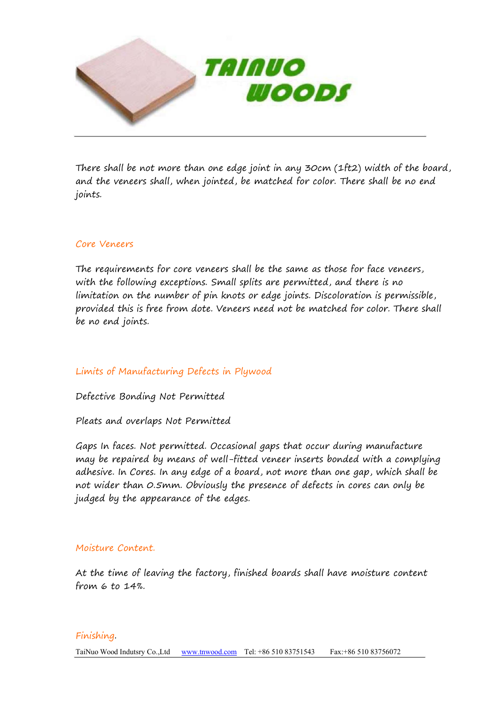

There shall be not more than one edge joint in any 30cm (1ft2) width of the board, and the veneers shall, when jointed, be matched for color. There shall be no end joints.

## Core Veneers

The requirements for core veneers shall be the same as those for face veneers, with the following exceptions. Small splits are permitted, and there is no limitation on the number of pin knots or edge joints. Discoloration is permissible, provided this is free from dote. Veneers need not be matched for color. There shall be no end joints.

## Limits of Manufacturing Defects in Plywood

Defective Bonding Not Permitted

Pleats and overlaps Not Permitted

Gaps In faces. Not permitted. Occasional gaps that occur during manufacture may be repaired by means of well-fitted veneer inserts bonded with a complying adhesive. In Cores. In any edge of a board, not more than one gap, which shall be not wider than 0.5mm. Obviously the presence of defects in cores can only be judged by the appearance of the edges.

#### Moisture Content.

At the time of leaving the factory, finished boards shall have moisture content from 6 to 14%.

#### Finishing.

TaiNuo Wood Indutsry Co.,Ltd www.tnwood.com Tel: +86 510 83751543 Fax:+86 510 83756072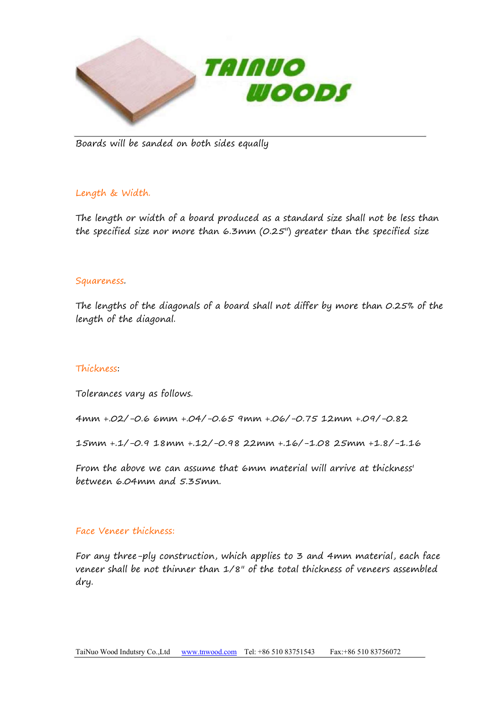

Boards will be sanded on both sides equally

## Length & Width.

The length or width of a board produced as a standard size shall not be less than the specified size nor more than 6.3mm (0.25") greater than the specified size

#### Squareness.

The lengths of the diagonals of a board shall not differ by more than 0.25% of the length of the diagonal.

#### Thickness:

Tolerances vary as follows.

4mm +.02/-0.66mm +.04/-0.65 9mm +.06/-0.75 12mm +.09/-0.82

15mm +.1/-0.9 18mm +.12/-0.98 22mm +.16/-1.08 25mm +1.8/-1.16

From the above we can assume that 6mm material will arrive at thickness' between 6.04mm and 5.35mm.

#### Face Veneer thickness:

For any three-ply construction, which applies to 3 and 4mm material, each face veneer shall be not thinner than 1/8" of the total thickness of veneers assembled dry.